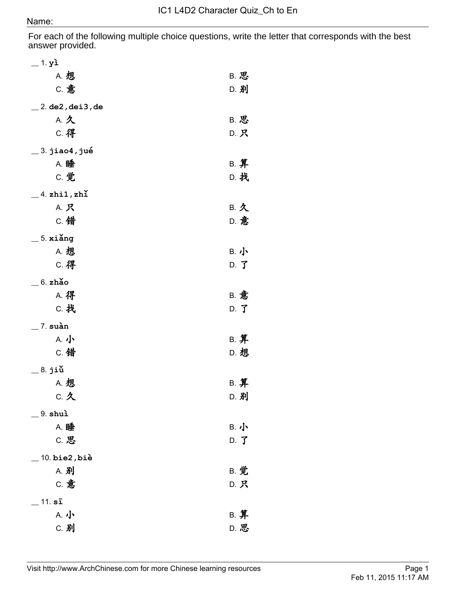For each of the following multiple choice questions, write the letter that corresponds with the best answer provided.

| $=$ 1. yì                      |                |
|--------------------------------|----------------|
| A. 想                           | B. 思           |
| c. 意                           | D. 别           |
| $\_$ 2. de2 , dei3 , de        |                |
| A. 久                           | B. 思           |
|                                |                |
| C. 得                           | D. 只           |
| $\_$ 3. jiao $\mathbf 4$ , jué |                |
| A. 睡                           | B. 算           |
| C. 觉                           | D. 找           |
| $\_$ 4. zhi1, zhǐ              |                |
| A. 只                           | B. 久           |
| C. 错                           | D. 意           |
|                                |                |
| $=$ 5. xiǎng                   |                |
| <b>A. 想</b>                    | B. 小           |
| C. 得                           | $D.$ $J$       |
| $=$ 6. zhǎo                    |                |
| <b>A. 得</b>                    | <b>B. 意</b>    |
| C. 找                           | $D.$ $\vec{J}$ |
| $\_$ 7. suàn                   |                |
| A. 小                           | B. 算           |
| C. 错                           | D. 想           |
|                                |                |
| <sub>.</sub> 8. jiǔ            |                |
| <b>A. 想</b>                    | B. 算           |
| C. 久                           | D. 别           |
| $-9.$ shuì                     |                |
| A. 睡                           | B. 小           |
| C. 思                           | D. J           |
| $10.$ bie $2$ , biè            |                |
| A. 别                           | B. 觉           |
| <b>C. 意</b>                    |                |
|                                | D. 只           |
| $11. s\bar{s}$                 |                |
| A. 小                           | B. 算           |
| C. 别                           | D. 思           |